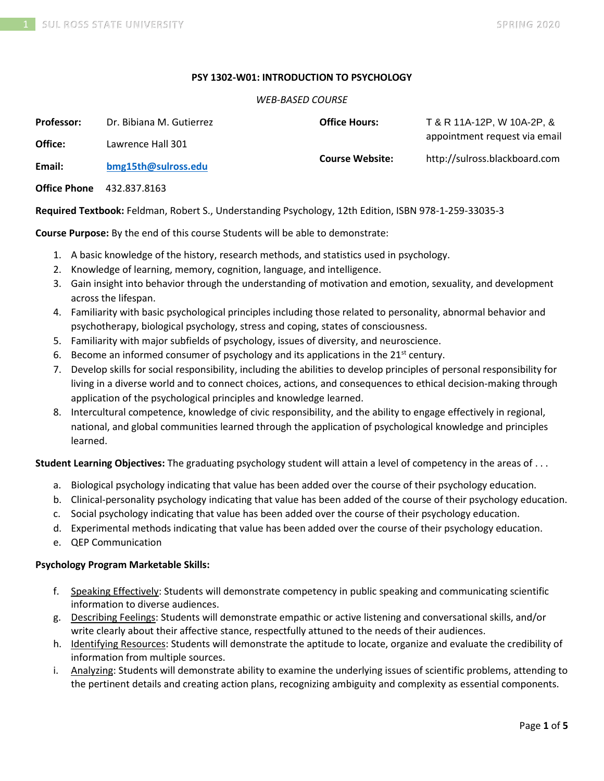#### **PSY 1302-W01: INTRODUCTION TO PSYCHOLOGY**

#### *WEB-BASED COURSE*

| <b>Professor:</b>   | Dr. Bibiana M. Gutierrez | <b>Office Hours:</b>   | T & R 11A-12P, W 10A-2P, &    |
|---------------------|--------------------------|------------------------|-------------------------------|
| Office:             | Lawrence Hall 301        | <b>Course Website:</b> | appointment request via email |
| Email:              | bmg15th@sulross.edu      |                        | http://sulross.blackboard.com |
| <b>Office Phone</b> | 432.837.8163             |                        |                               |

**Required Textbook:** Feldman, Robert S., Understanding Psychology, 12th Edition, ISBN 978-1-259-33035-3

**Course Purpose:** By the end of this course Students will be able to demonstrate:

- 1. A basic knowledge of the history, research methods, and statistics used in psychology.
- 2. Knowledge of learning, memory, cognition, language, and intelligence.
- 3. Gain insight into behavior through the understanding of motivation and emotion, sexuality, and development across the lifespan.
- 4. Familiarity with basic psychological principles including those related to personality, abnormal behavior and psychotherapy, biological psychology, stress and coping, states of consciousness.
- 5. Familiarity with major subfields of psychology, issues of diversity, and neuroscience.
- 6. Become an informed consumer of psychology and its applications in the  $21^{st}$  century.
- 7. Develop skills for social responsibility, including the abilities to develop principles of personal responsibility for living in a diverse world and to connect choices, actions, and consequences to ethical decision-making through application of the psychological principles and knowledge learned.
- 8. Intercultural competence, knowledge of civic responsibility, and the ability to engage effectively in regional, national, and global communities learned through the application of psychological knowledge and principles learned.

**Student Learning Objectives:** The graduating psychology student will attain a level of competency in the areas of . . .

- a. Biological psychology indicating that value has been added over the course of their psychology education.
- b. Clinical-personality psychology indicating that value has been added of the course of their psychology education.
- c. Social psychology indicating that value has been added over the course of their psychology education.
- d. Experimental methods indicating that value has been added over the course of their psychology education.
- e. QEP Communication

#### **Psychology Program Marketable Skills:**

- f. Speaking Effectively: Students will demonstrate competency in public speaking and communicating scientific information to diverse audiences.
- g. Describing Feelings: Students will demonstrate empathic or active listening and conversational skills, and/or write clearly about their affective stance, respectfully attuned to the needs of their audiences.
- h. Identifying Resources: Students will demonstrate the aptitude to locate, organize and evaluate the credibility of information from multiple sources.
- i. Analyzing: Students will demonstrate ability to examine the underlying issues of scientific problems, attending to the pertinent details and creating action plans, recognizing ambiguity and complexity as essential components.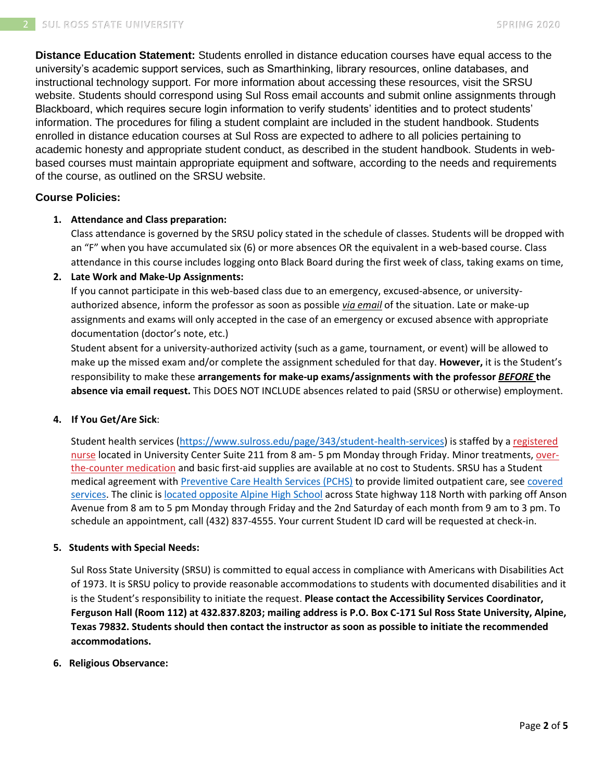**Distance Education Statement:** Students enrolled in distance education courses have equal access to the university's academic support services, such as Smarthinking, library resources, online databases, and instructional technology support. For more information about accessing these resources, visit the SRSU website. Students should correspond using Sul Ross email accounts and submit online assignments through Blackboard, which requires secure login information to verify students' identities and to protect students' information. The procedures for filing a student complaint are included in the student handbook. Students enrolled in distance education courses at Sul Ross are expected to adhere to all policies pertaining to academic honesty and appropriate student conduct, as described in the student handbook. Students in webbased courses must maintain appropriate equipment and software, according to the needs and requirements of the course, as outlined on the SRSU website.

# **Course Policies:**

# **1. Attendance and Class preparation:**

Class attendance is governed by the SRSU policy stated in the schedule of classes. Students will be dropped with an "F" when you have accumulated six (6) or more absences OR the equivalent in a web-based course. Class attendance in this course includes logging onto Black Board during the first week of class, taking exams on time,

# **2. Late Work and Make-Up Assignments:**

If you cannot participate in this web-based class due to an emergency, excused-absence, or universityauthorized absence, inform the professor as soon as possible *via email* of the situation. Late or make-up assignments and exams will only accepted in the case of an emergency or excused absence with appropriate documentation (doctor's note, etc.)

Student absent for a university-authorized activity (such as a game, tournament, or event) will be allowed to make up the missed exam and/or complete the assignment scheduled for that day. **However,** it is the Student's responsibility to make these **arrangements for make-up exams/assignments with the professor** *BEFORE* **the absence via email request.** This DOES NOT INCLUDE absences related to paid (SRSU or otherwise) employment.

#### **4. If You Get/Are Sick**:

Student health services [\(https://www.sulross.edu/page/343/student-health-services\)](https://www.sulross.edu/page/343/student-health-services) is staffed by a [registered](https://www.sulross.edu/faculty-and-staff/945/health-services-coordinator)  [nurse](https://www.sulross.edu/faculty-and-staff/945/health-services-coordinator) located in University Center Suite 211 from 8 am- 5 pm Monday through Friday. Minor treatments, [over](http://www.sulross.edu/page/1462/medications)[the-counter medication](http://www.sulross.edu/page/1462/medications) and basic first-aid supplies are available at no cost to Students. SRSU has a Student medical agreement with [Preventive Care Health Services \(PCHS\)](http://www.pchsmedclinic.org/locations) to provide limited outpatient care, see covered [services.](http://www.sulross.edu/page/1471/preventive-care-health-services) The clinic is [located opposite Alpine High School](http://www.sulross.edu/gallery-image/4341/health-service-locations) across State highway 118 North with parking off Anson Avenue from 8 am to 5 pm Monday through Friday and the 2nd Saturday of each month from 9 am to 3 pm. To schedule an appointment, call (432) 837-4555. Your current Student ID card will be requested at check-in.

#### **5. Students with Special Needs:**

Sul Ross State University (SRSU) is committed to equal access in compliance with Americans with Disabilities Act of 1973. It is SRSU policy to provide reasonable accommodations to students with documented disabilities and it is the Student's responsibility to initiate the request. **Please contact the Accessibility Services Coordinator, Ferguson Hall (Room 112) at 432.837.8203; mailing address is P.O. Box C-171 Sul Ross State University, Alpine, Texas 79832. Students should then contact the instructor as soon as possible to initiate the recommended accommodations.**

#### **6. Religious Observance:**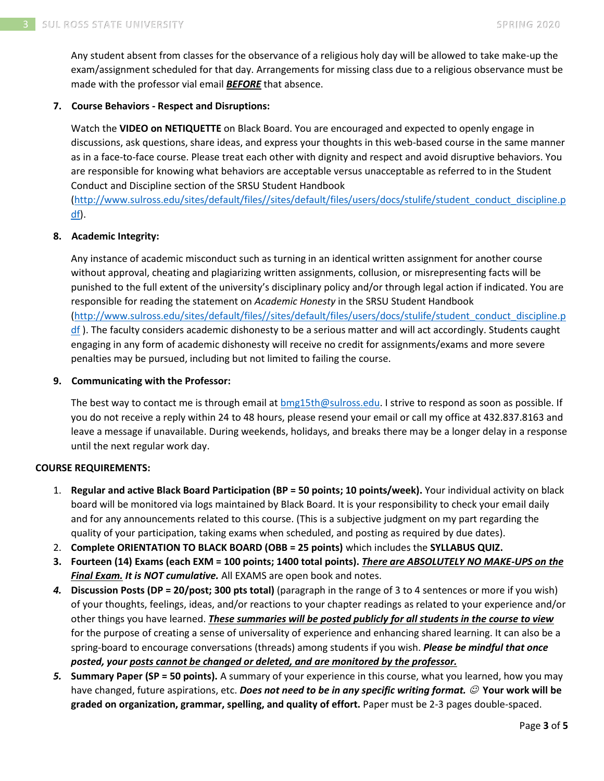Any student absent from classes for the observance of a religious holy day will be allowed to take make-up the exam/assignment scheduled for that day. Arrangements for missing class due to a religious observance must be made with the professor vial email *BEFORE* that absence.

# **7. Course Behaviors - Respect and Disruptions:**

Watch the **VIDEO on NETIQUETTE** on Black Board. You are encouraged and expected to openly engage in discussions, ask questions, share ideas, and express your thoughts in this web-based course in the same manner as in a face-to-face course. Please treat each other with dignity and respect and avoid disruptive behaviors. You are responsible for knowing what behaviors are acceptable versus unacceptable as referred to in the Student Conduct and Discipline section of the SRSU Student Handbook

[\(http://www.sulross.edu/sites/default/files//sites/default/files/users/docs/stulife/student\\_conduct\\_discipline.p](http://www.sulross.edu/sites/default/files/sites/default/files/users/docs/stulife/student_conduct_discipline.pdf) [df\)](http://www.sulross.edu/sites/default/files/sites/default/files/users/docs/stulife/student_conduct_discipline.pdf).

# **8. Academic Integrity:**

Any instance of academic misconduct such as turning in an identical written assignment for another course without approval, cheating and plagiarizing written assignments, collusion, or misrepresenting facts will be punished to the full extent of the university's disciplinary policy and/or through legal action if indicated. You are responsible for reading the statement on *Academic Honesty* in the SRSU Student Handbook [\(http://www.sulross.edu/sites/default/files//sites/default/files/users/docs/stulife/student\\_conduct\\_discipline.p](http://www.sulross.edu/sites/default/files/sites/default/files/users/docs/stulife/student_conduct_discipline.pdf)  $df$ ). The faculty considers academic dishonesty to be a serious matter and will act accordingly. Students caught engaging in any form of academic dishonesty will receive no credit for assignments/exams and more severe penalties may be pursued, including but not limited to failing the course.

#### **9. Communicating with the Professor:**

The best way to contact me is through email at [bmg15th@sulross.edu.](mailto:bmg15th@sulross.edu) I strive to respond as soon as possible. If you do not receive a reply within 24 to 48 hours, please resend your email or call my office at 432.837.8163 and leave a message if unavailable. During weekends, holidays, and breaks there may be a longer delay in a response until the next regular work day.

#### **COURSE REQUIREMENTS:**

- 1. **Regular and active Black Board Participation (BP = 50 points; 10 points/week).** Your individual activity on black board will be monitored via logs maintained by Black Board. It is your responsibility to check your email daily and for any announcements related to this course. (This is a subjective judgment on my part regarding the quality of your participation, taking exams when scheduled, and posting as required by due dates).
- 2. **Complete ORIENTATION TO BLACK BOARD (OBB = 25 points)** which includes the **SYLLABUS QUIZ.**
- **3. Fourteen (14) Exams (each EXM = 100 points; 1400 total points).** *There are ABSOLUTELY NO MAKE-UPS on the Final Exam. It is NOT cumulative.* All EXAMS are open book and notes.
- *4.* **Discussion Posts (DP = 20/post; 300 pts total)** (paragraph in the range of 3 to 4 sentences or more if you wish) of your thoughts, feelings, ideas, and/or reactions to your chapter readings as related to your experience and/or other things you have learned. *These summaries will be posted publicly for all students in the course to view* for the purpose of creating a sense of universality of experience and enhancing shared learning. It can also be a spring-board to encourage conversations (threads) among students if you wish. *Please be mindful that once posted, your posts cannot be changed or deleted, and are monitored by the professor.*
- *5.* **Summary Paper (SP = 50 points).** A summary of your experience in this course, what you learned, how you may have changed, future aspirations, etc. *Does not need to be in any specific writing format.*  $\oslash$  Your work will be **graded on organization, grammar, spelling, and quality of effort.** Paper must be 2-3 pages double-spaced.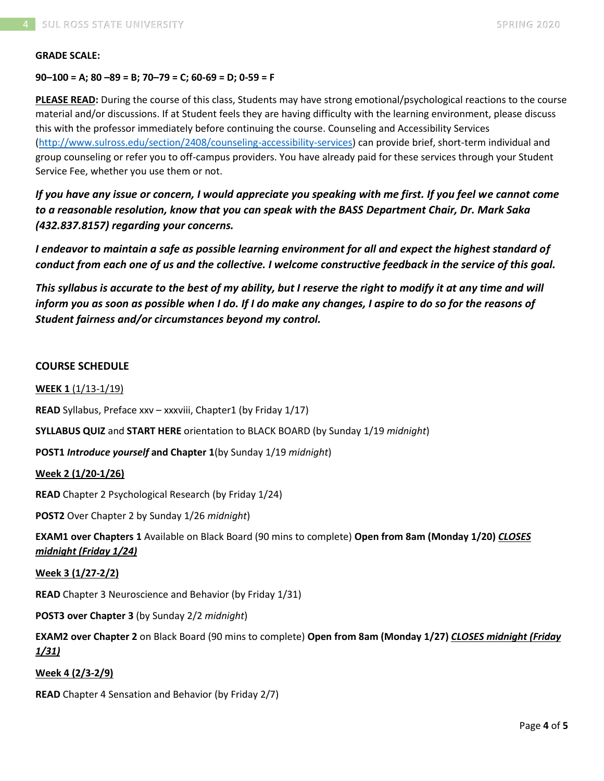#### **GRADE SCALE:**

#### **90–100 = A; 80 –89 = B; 70–79 = C; 60-69 = D; 0-59 = F**

**PLEASE READ:** During the course of this class, Students may have strong emotional/psychological reactions to the course material and/or discussions. If at Student feels they are having difficulty with the learning environment, please discuss this with the professor immediately before continuing the course. Counseling and Accessibility Services [\(http://www.sulross.edu/section/2408/counseling-accessibility-services\)](http://www.sulross.edu/section/2408/counseling-accessibility-services) can provide brief, short-term individual and group counseling or refer you to off-campus providers. You have already paid for these services through your Student Service Fee, whether you use them or not.

*If you have any issue or concern, I would appreciate you speaking with me first. If you feel we cannot come to a reasonable resolution, know that you can speak with the BASS Department Chair, Dr. Mark Saka (432.837.8157) regarding your concerns.*

*I endeavor to maintain a safe as possible learning environment for all and expect the highest standard of conduct from each one of us and the collective. I welcome constructive feedback in the service of this goal.*

*This syllabus is accurate to the best of my ability, but I reserve the right to modify it at any time and will inform you as soon as possible when I do. If I do make any changes, I aspire to do so for the reasons of Student fairness and/or circumstances beyond my control.*

#### **COURSE SCHEDULE**

**WEEK 1** (1/13-1/19)

**READ** Syllabus, Preface xxv – xxxviii, Chapter1 (by Friday 1/17)

**SYLLABUS QUIZ** and **START HERE** orientation to BLACK BOARD (by Sunday 1/19 *midnight*)

**POST1** *Introduce yourself* **and Chapter 1**(by Sunday 1/19 *midnight*)

#### **Week 2 (1/20-1/26)**

**READ** Chapter 2 Psychological Research (by Friday 1/24)

**POST2** Over Chapter 2 by Sunday 1/26 *midnight*)

**EXAM1 over Chapters 1** Available on Black Board (90 mins to complete) **Open from 8am (Monday 1/20)** *CLOSES midnight (Friday 1/24)*

#### **Week 3 (1/27-2/2)**

**READ** Chapter 3 Neuroscience and Behavior (by Friday 1/31)

**POST3 over Chapter 3** (by Sunday 2/2 *midnight*)

**EXAM2 over Chapter 2** on Black Board (90 mins to complete) **Open from 8am (Monday 1/27)** *CLOSES midnight (Friday 1/31)*

#### **Week 4 (2/3-2/9)**

**READ** Chapter 4 Sensation and Behavior (by Friday 2/7)